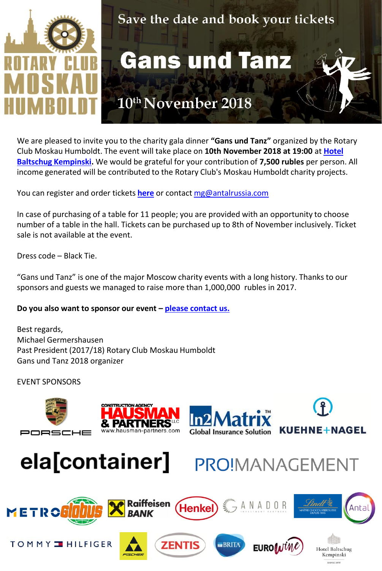

## Save the date and book your tickets

**Gans und Tanz** 

## 10th November 2018

We are pleased to invite you to the charity gala dinner **"Gans und Tanz"** organized by the Rotary Club Mos[k](https://www.kempinski.com/ru/moscow/hotel-baltschug/)au Humboldt. The event will take place on **10th November 2018 at 19:00** at **[Hotel](https://www.kempinski.com/ru/moscow/hotel-baltschug/)  [Baltschug](https://www.kempinski.com/ru/moscow/hotel-baltschug/) [Kempinski.](https://www.kempinski.com/ru/moscow/hotel-baltschug/)** We would be grateful for your contribution of **7,500 rubles** per person. All income generated will be contributed to the Rotary Club's Moskau Humboldt charity projects.

You can register and order tickets **[here](http://www.surveymonkey.co.uk/r/gansundtanz2018)** or contact [mg@antalrussia.com](mailto:mg@antalrussia.com)

In case of purchasing of a table for 11 people; you are provided with an opportunity to choose number of a table in the hall. Tickets can be purchased up to 8th of November inclusively. Ticket sale is not available at the event.

Dress code – Black Tie.

"Gans und Tanz" is one of the major Moscow charity events with a long history. Thanks to our sponsors and guests we managed to raise more than 1,000,000 rubles in 2017.

**Do you also want to sponsor our event – [please contact us.](mailto:mg@antalrussia.com?subject=Gans und Tanz 2018, 10th November)** 

Best regards, Michael Germershausen Past President (2017/18) Rotary Club Moskau Humboldt Gans und Tanz 2018 organizer

EVENT SPONSORS











KUEHNE+NAGEL

Kempinski MOSCOW